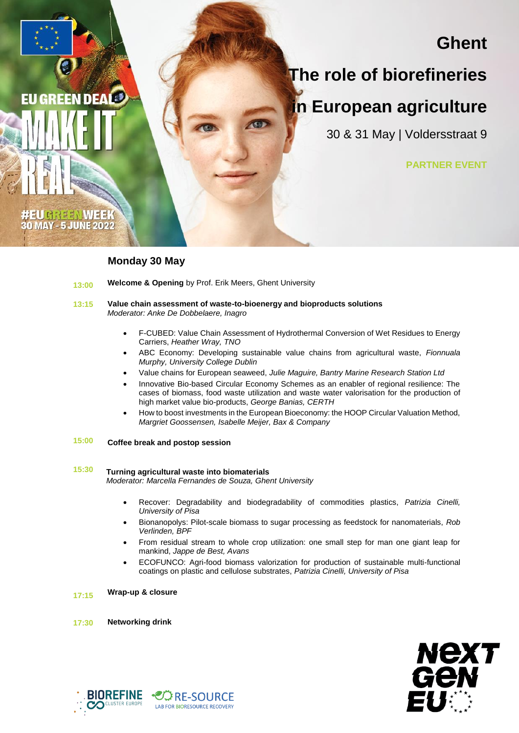# **Ghent**

# **The role of biorefineries**

# **in European agriculture**

30 & 31 May | Voldersstraat 9

**PARTNER EVENT**

## **Monday 30 May**

**EU GREEN DEAL®** 

UGREENWEE **30 MAY - 5 JUNE 2022** 

- **13:00 Welcome & Opening** by Prof. Erik Meers, Ghent University
- **13:15 Value chain assessment of waste-to-bioenergy and bioproducts solutions** *Moderator: Anke De Dobbelaere, Inagro*
	- F-CUBED: Value Chain Assessment of Hydrothermal Conversion of Wet Residues to Energy Carriers, *Heather Wray, TNO*
	- ABC Economy: Developing sustainable value chains from agricultural waste, *Fionnuala Murphy, University College Dublin*
	- Value chains for European seaweed, *Julie Maguire, Bantry Marine Research Station Ltd*
	- Innovative Bio-based Circular Economy Schemes as an enabler of regional resilience: The cases of biomass, food waste utilization and waste water valorisation for the production of high market value bio-products, *George Banias, CERTH*
	- How to boost investments in the European Bioeconomy: the HOOP Circular Valuation Method, *Margriet Goossensen, Isabelle Meijer, Bax & Company*
- **15:00 Coffee break and postop session**

### **15:30 Turning agricultural waste into biomaterials**

 *Moderator: Marcella Fernandes de Souza, Ghent University*

- Recover: Degradability and biodegradability of commodities plastics, *Patrizia Cinelli, University of Pisa*
- Bionanopolys: Pilot-scale biomass to sugar processing as feedstock for nanomaterials, *Rob Verlinden, BPF*
- From residual stream to whole crop utilization: one small step for man one giant leap for mankind, *Jappe de Best, Avans*
- ECOFUNCO: Agri-food biomass valorization for production of sustainable multi-functional coatings on plastic and cellulose substrates, *Patrizia Cinelli, University of Pisa*

**17:15 Wrap-up & closure**

**17:30 Networking drink**



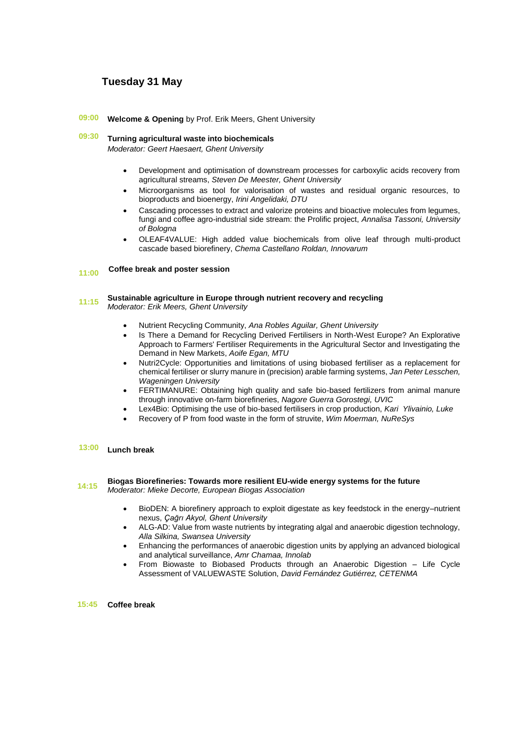# **Tuesday 31 May**

**09:00 Welcome & Opening** by Prof. Erik Meers, Ghent University

**09:30 Turning agricultural waste into biochemicals**

*Moderator: Geert Haesaert, Ghent University* 

- Development and optimisation of downstream processes for carboxylic acids recovery from agricultural streams, *Steven De Meester, Ghent University*
- Microorganisms as tool for valorisation of wastes and residual organic resources, to bioproducts and bioenergy, *Irini Angelidaki, DTU*
- Cascading processes to extract and valorize proteins and bioactive molecules from legumes, fungi and coffee agro-industrial side stream: the Prolific project, *Annalisa Tassoni, University of Bologna*
- OLEAF4VALUE: High added value biochemicals from olive leaf through multi-product cascade based biorefinery, *Chema Castellano Roldan, Innovarum*

#### **11:00 Coffee break and poster session**

## **11:15 Sustainable agriculture in Europe through nutrient recovery and recycling**  *Moderator: Erik Meers, Ghent University*

- Nutrient Recycling Community, *Ana Robles Aguilar, Ghent University*
- Is There a Demand for Recycling Derived Fertilisers in North-West Europe? An Explorative Approach to Farmers' Fertiliser Requirements in the Agricultural Sector and Investigating the Demand in New Markets, *Aoife Egan, MTU*
- Nutri2Cycle: Opportunities and limitations of using biobased fertiliser as a replacement for chemical fertiliser or slurry manure in (precision) arable farming systems, *Jan Peter Lesschen, Wageningen University*
- FERTIMANURE: Obtaining high quality and safe bio-based fertilizers from animal manure through innovative on-farm biorefineries, *Nagore Guerra Gorostegi, UVIC*
- Lex4Bio: Optimising the use of bio-based fertilisers in crop production, *Kari Ylivainio, Luke*
- Recovery of P from food waste in the form of struvite, *Wim Moerman, NuReSys*

### **13:00 Lunch break**

### **14:15 Biogas Biorefineries: Towards more resilient EU-wide energy systems for the future**  *Moderator: Mieke Decorte, European Biogas Association*

- BioDEN: A biorefinery approach to exploit digestate as key feedstock in the energy–nutrient nexus, *Çağrı Akyol, Ghent University*
- ALG-AD: Value from waste nutrients by integrating algal and anaerobic digestion technology, *Alla Silkina, Swansea University*
- Enhancing the performances of anaerobic digestion units by applying an advanced biological and analytical surveillance, *Amr Chamaa, Innolab*
- From Biowaste to Biobased Products through an Anaerobic Digestion Life Cycle Assessment of VALUEWASTE Solution, *David Fernández Gutiérrez, CETENMA*

 **15:45 Coffee break**